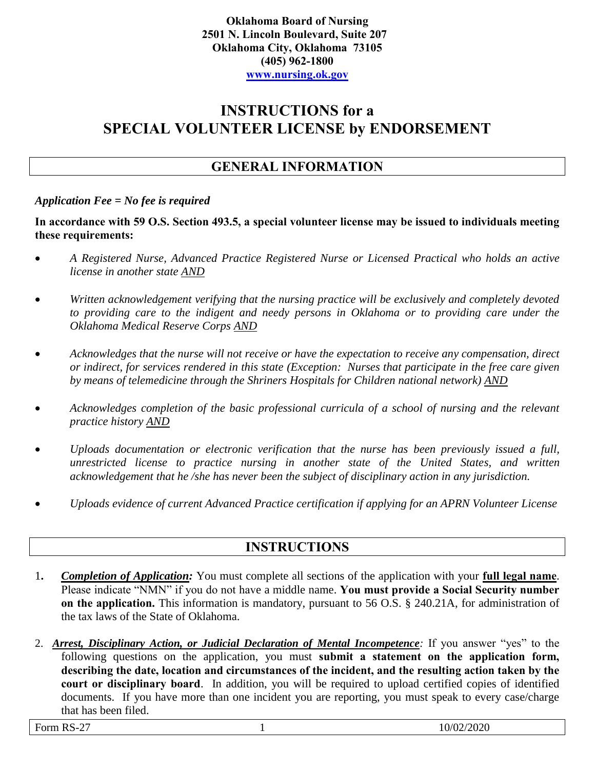# **INSTRUCTIONS for a SPECIAL VOLUNTEER LICENSE by ENDORSEMENT**

### **GENERAL INFORMATION**

#### *Application Fee = No fee is required*

**In accordance with 59 O.S. Section 493.5, a special volunteer license may be issued to individuals meeting these requirements:**

- *A Registered Nurse, Advanced Practice Registered Nurse or Licensed Practical who holds an active license in another state AND*
- *Written acknowledgement verifying that the nursing practice will be exclusively and completely devoted to providing care to the indigent and needy persons in Oklahoma or to providing care under the Oklahoma Medical Reserve Corps AND*
- *Acknowledges that the nurse will not receive or have the expectation to receive any compensation, direct or indirect, for services rendered in this state (Exception: Nurses that participate in the free care given by means of telemedicine through the Shriners Hospitals for Children national network) AND*
- *Acknowledges completion of the basic professional curricula of a school of nursing and the relevant practice history AND*
- *Uploads documentation or electronic verification that the nurse has been previously issued a full, unrestricted license to practice nursing in another state of the United States, and written acknowledgement that he /she has never been the subject of disciplinary action in any jurisdiction.*
- *Uploads evidence of current Advanced Practice certification if applying for an APRN Volunteer License*

### **INSTRUCTIONS**

- 1**.** *Completion of Application:* You must complete all sections of the application with your **full legal name**. Please indicate "NMN" if you do not have a middle name. **You must provide a Social Security number on the application.** This information is mandatory, pursuant to 56 O.S. § 240.21A, for administration of the tax laws of the State of Oklahoma.
- 2. *Arrest, Disciplinary Action, or Judicial Declaration of Mental Incompetence:* If you answer "yes" to the following questions on the application, you must **submit a statement on the application form, describing the date, location and circumstances of the incident, and the resulting action taken by the court or disciplinary board**. In addition, you will be required to upload certified copies of identified documents. If you have more than one incident you are reporting, you must speak to every case/charge that has been filed.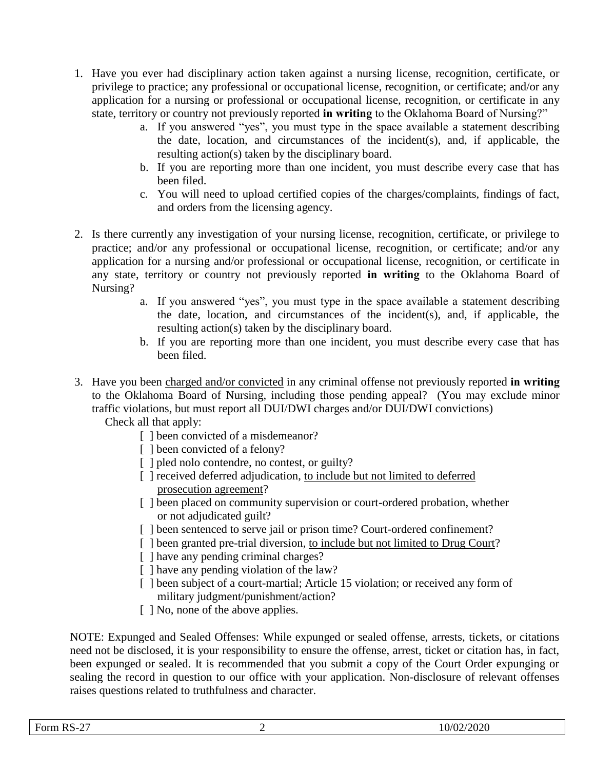- 1. Have you ever had disciplinary action taken against a nursing license, recognition, certificate, or privilege to practice; any professional or occupational license, recognition, or certificate; and/or any application for a nursing or professional or occupational license, recognition, or certificate in any state, territory or country not previously reported **in writing** to the Oklahoma Board of Nursing?"
	- a. If you answered "yes", you must type in the space available a statement describing the date, location, and circumstances of the incident(s), and, if applicable, the resulting action(s) taken by the disciplinary board.
	- b. If you are reporting more than one incident, you must describe every case that has been filed.
	- c. You will need to upload certified copies of the charges/complaints, findings of fact, and orders from the licensing agency.
- 2. Is there currently any investigation of your nursing license, recognition, certificate, or privilege to practice; and/or any professional or occupational license, recognition, or certificate; and/or any application for a nursing and/or professional or occupational license, recognition, or certificate in any state, territory or country not previously reported **in writing** to the Oklahoma Board of Nursing?
	- a. If you answered "yes", you must type in the space available a statement describing the date, location, and circumstances of the incident(s), and, if applicable, the resulting action(s) taken by the disciplinary board.
	- b. If you are reporting more than one incident, you must describe every case that has been filed.
- 3. Have you been charged and/or convicted in any criminal offense not previously reported **in writing** to the Oklahoma Board of Nursing, including those pending appeal? (You may exclude minor traffic violations, but must report all DUI/DWI charges and/or DUI/DWI convictions) Check all that apply:
	- [ ] been convicted of a misdemeanor?
	- [ ] been convicted of a felony?
	- [ ] pled nolo contendre, no contest, or guilty?
	- [ ] received deferred adjudication, to include but not limited to deferred prosecution agreement?
	- [ ] been placed on community supervision or court-ordered probation, whether or not adjudicated guilt?
	- [ ] been sentenced to serve jail or prison time? Court-ordered confinement?
	- [ ] been granted pre-trial diversion, to include but not limited to Drug Court?
	- [ ] have any pending criminal charges?
	- [ ] have any pending violation of the law?
	- [ ] been subject of a court-martial; Article 15 violation; or received any form of military judgment/punishment/action?
	- [  $\vert$  No, none of the above applies.

NOTE: Expunged and Sealed Offenses: While expunged or sealed offense, arrests, tickets, or citations need not be disclosed, it is your responsibility to ensure the offense, arrest, ticket or citation has, in fact, been expunged or sealed. It is recommended that you submit a copy of the Court Order expunging or sealing the record in question to our office with your application. Non-disclosure of relevant offenses raises questions related to truthfulness and character.